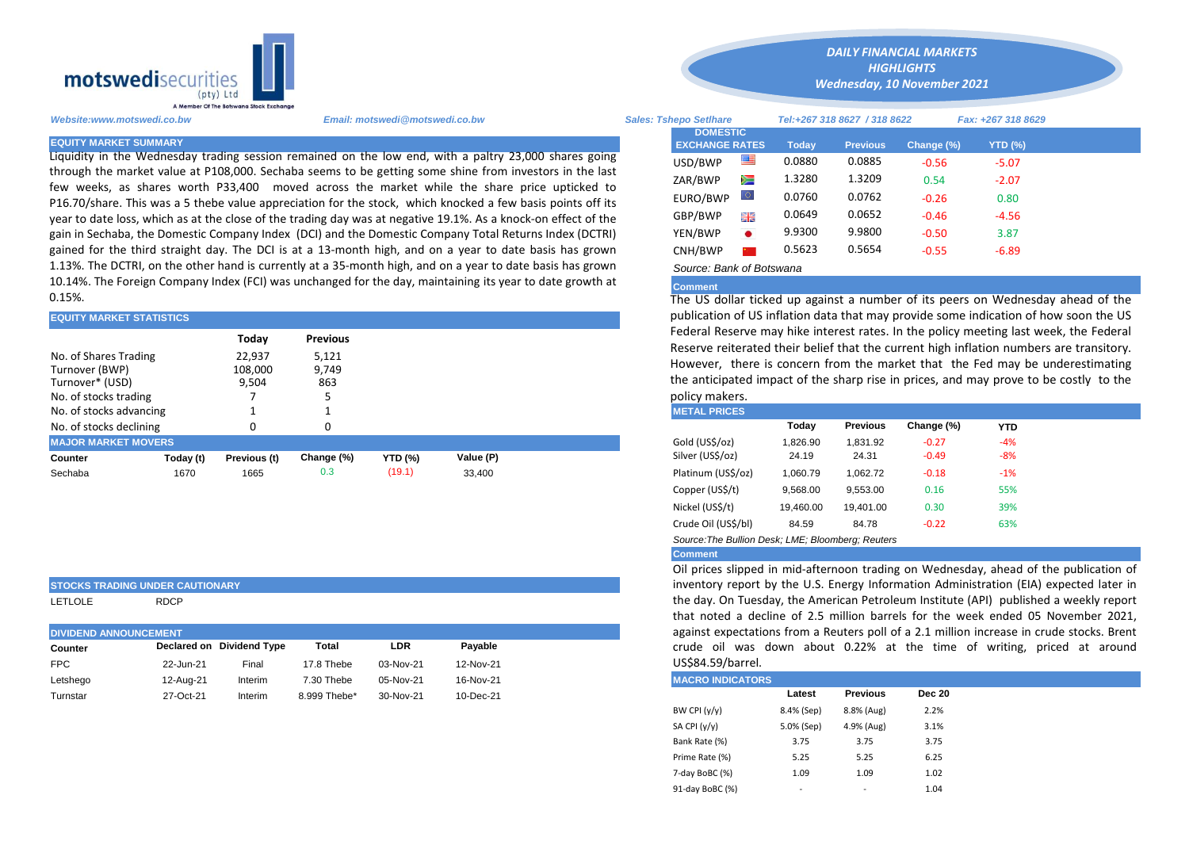

Liquidity in the Wednesday trading session remained on the low end, with a paltry 23,000 shares going through the market value at P108,000. Sechaba seems to be getting some shine from investors in the last few weeks, as shares worth P33,400 moved across the market while the share price upticked to P16.70/share. This was a 5 thebe value appreciation for the stock, which knocked a few basis points off its year to date loss, which as at the close of the trading day was at negative 19.1%. As a knock-on effect of the gain in Sechaba, the Domestic Company Index (DCI) and the Domestic Company Total Returns Index (DCTRI) gained for the third straight day. The DCI is at a 13-month high, and on a year to date basis has grown 1.13%. The DCTRI, on the other hand is currently at a 35-month high, and on a year to date basis has grown 10.14%. The Foreign Company Index (FCI) was unchanged for the day, maintaining its year to date growth at 0.15%.

| <b>EQUITY MARKET STATISTICS</b>                                                                                |           |                            |                       |                | publication of US inflation data that may provide some indication of he |  |                                                                                                                                                   |          |                                                                                                                                           |            |            |  |  |  |
|----------------------------------------------------------------------------------------------------------------|-----------|----------------------------|-----------------------|----------------|-------------------------------------------------------------------------|--|---------------------------------------------------------------------------------------------------------------------------------------------------|----------|-------------------------------------------------------------------------------------------------------------------------------------------|------------|------------|--|--|--|
|                                                                                                                |           | Today                      | <b>Previous</b>       |                |                                                                         |  | Federal Reserve may hike interest rates. In the policy meeting last we<br>Reserve reiterated their belief that the current high inflation numbers |          |                                                                                                                                           |            |            |  |  |  |
| No. of Shares Trading<br>Turnover (BWP)<br>Turnover* (USD)<br>No. of stocks trading<br>No. of stocks advancing |           | 22.937<br>108,000<br>9,504 | 5,121<br>9,749<br>863 |                |                                                                         |  | policy makers.<br><b>METAL PRICES</b>                                                                                                             |          | However, there is concern from the market that the Fed may be u<br>the anticipated impact of the sharp rise in prices, and may prove to b |            |            |  |  |  |
| No. of stocks declining                                                                                        |           |                            |                       |                |                                                                         |  |                                                                                                                                                   | Todav    | <b>Previous</b>                                                                                                                           | Change (%) | <b>YTD</b> |  |  |  |
| <b>MAJOR MARKET MOVERS</b>                                                                                     |           |                            |                       |                |                                                                         |  | Gold (US\$/oz)                                                                                                                                    | 1.826.90 | 1.831.92                                                                                                                                  | $-0.27$    | $-4%$      |  |  |  |
| Counter                                                                                                        | Today (t) | Previous (t)               | Change (%)            | <b>YTD (%)</b> | Value (P)                                                               |  | Silver (US\$/oz)                                                                                                                                  | 24.19    | 24.31                                                                                                                                     | $-0.49$    | $-8%$      |  |  |  |
| Sechaba                                                                                                        | 1670      | 1665                       | 0.3                   | (19.1)         | 33,400                                                                  |  | Platinum (US\$/oz)                                                                                                                                | 1,060.79 | 1.062.72                                                                                                                                  | $-0.18$    | $-1%$      |  |  |  |

# **STOCKS TRADING UNDER CAUTIONARY**

LETLOLE RDCP

|            | <b>DIVIDEND ANNOUNCEMENT</b> |                           |              |           |           |  |  |  |
|------------|------------------------------|---------------------------|--------------|-----------|-----------|--|--|--|
| Counter    |                              | Declared on Dividend Type | Total        | LDR       | Pavable   |  |  |  |
| <b>FPC</b> | 22-Jun-21                    | Final                     | 17.8 Thebe   | 03-Nov-21 | 12-Nov-21 |  |  |  |
| Letshego   | 12-Aua-21                    | Interim                   | 7.30 Thebe   | 05-Nov-21 | 16-Nov-21 |  |  |  |
| Turnstar   | 27-Oct-21                    | Interim                   | 8.999 Thebe* | 30-Nov-21 | 10-Dec-21 |  |  |  |

*Website:www.motswedi.co.bw Email: motswedi@motswedi.co.bw Sales: Tshepo Setlhare Tel:+267 318 8627 / 318 8622 Fax: +267 318 8629*  **EQUITY MARKET SUMMARY Today Previous Change (%) YTD (%)**  $\overline{UD}/BWP$   $\overline{III}$  0.0880 0.0885 -0.56 -5.07 ZAR/BWP 1.3280 1.3209 0.54 -2.07 EURO/BWP 0.0760 0.0762 -0.26 0.80 GBP/BWP **EXECUTE:** 0.0649 0.0652 -0.46 -4.56 YEN/BWP 9.9300 9.9800 -0.50 3.87 **DOMESTIC EXCHANGE RATES**

*DAILY FINANCIAL MARKETS HIGHLIGHTS Wednesday, 10 November 2021* 

### *Source: Bank of Botswana*

## **Comment**

The US dollar ticked up against a number of its peers on Wednesday ahead of the publication of US inflation data that may provide some indication of how soon the US Federal Reserve may hike interest rates. In the policy meeting last week, the Federal Reserve reiterated their belief that the current high inflation numbers are transitory. However, there is concern from the market that the Fed may be underestimating the anticipated impact of the sharp rise in prices, and may prove to be costly to the policy makers.

CNH/BWP 0.5623 0.5654 -0.55 -6.89

| METAL PRIULS        |           |                 |            |            |  |
|---------------------|-----------|-----------------|------------|------------|--|
|                     | Today     | <b>Previous</b> | Change (%) | <b>YTD</b> |  |
| Gold (US\$/oz)      | 1.826.90  | 1.831.92        | $-0.27$    | $-4%$      |  |
| Silver (US\$/oz)    | 24.19     | 24.31           | $-0.49$    | $-8%$      |  |
| Platinum (US\$/oz)  | 1.060.79  | 1.062.72        | $-0.18$    | $-1\%$     |  |
| Copper (US\$/t)     | 9,568.00  | 9.553.00        | 0.16       | 55%        |  |
| Nickel (US\$/t)     | 19,460.00 | 19,401.00       | 0.30       | 39%        |  |
| Crude Oil (US\$/bl) | 84.59     | 84.78           | $-0.22$    | 63%        |  |
|                     |           |                 |            |            |  |

## *Source:The Bullion Desk; LME; Bloomberg; Reuters*

**Comment**

Oil prices slipped in mid-afternoon trading on Wednesday, ahead of the publication of inventory report by the U.S. Energy Information Administration (EIA) expected later in the day. On Tuesday, the American Petroleum Institute (API) published a weekly report that noted a decline of 2.5 million barrels for the week ended 05 November 2021, against expectations from a Reuters poll of a 2.1 million increase in crude stocks. Brent crude oil was down about 0.22% at the time of writing, priced at around US\$84.59/barrel.

| <b>MACRO INDICATORS</b> |            |                 |               |  |  |  |  |  |  |
|-------------------------|------------|-----------------|---------------|--|--|--|--|--|--|
|                         | Latest     | <b>Previous</b> | <b>Dec 20</b> |  |  |  |  |  |  |
| BW CPI $(y/y)$          | 8.4% (Sep) | 8.8% (Aug)      | 2.2%          |  |  |  |  |  |  |
| SA CPI (y/y)            | 5.0% (Sep) | 4.9% (Aug)      | 3.1%          |  |  |  |  |  |  |
| Bank Rate (%)           | 3.75       | 3.75            | 3.75          |  |  |  |  |  |  |
| Prime Rate (%)          | 5.25       | 5.25            | 6.25          |  |  |  |  |  |  |
| 7-day BoBC (%)          | 1.09       | 1.09            | 1.02          |  |  |  |  |  |  |
| 91-day BoBC (%)         | ٠          | ٠               | 1.04          |  |  |  |  |  |  |